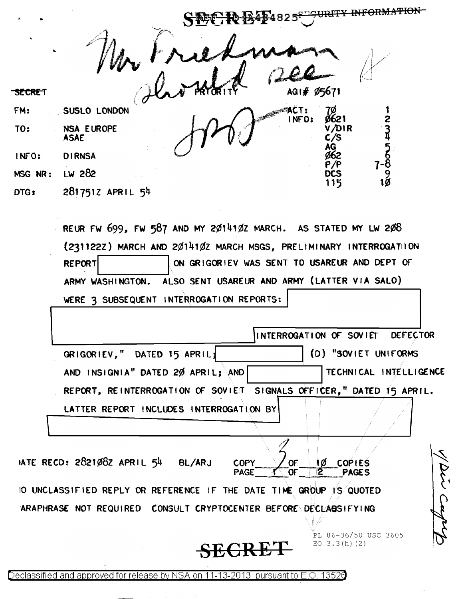<del>URITY</del> ,<br>4825 AG1# Ø5671 SECRET **STACT:** FM: SUSLO LONDON INFO: NSA EUROPE TO: **ASAE DIRNSA** INFO: LW 282 MSG NR: 2817512 APRIL 54 DTG:

> REUR FW 699, FW 587 AND MY 2014102 MARCH. AS STATED MY LW 208 (2311222) MARCH AND 2014102 MARCH MSGS, PRELIMINARY INTERROGATION **REPORT** ON GRIGORIEV WAS SENT TO USAREUR AND DEPT OF ALSO SENT USAREUR AND ARMY (LATTER VIA SALO) ARMY WASHINGTON. WERE 3 SUBSEQUENT INTERROGATION REPORTS:

| INTERROGATION OF SOVIET DEFECTOR                                                                                                                                                      |
|---------------------------------------------------------------------------------------------------------------------------------------------------------------------------------------|
| (D) "SOVIET UNIFORMS<br>GRIGORIEV," DATED 15 APRIL;                                                                                                                                   |
| AND INSIGNIA" DATED 20 APRIL; AND<br>TECHNICAL INTELLIGENCE                                                                                                                           |
| REPORT, REINTERROGATION OF SOVIET SIGNALS OFFICER," DATED 15 APRIL.                                                                                                                   |
| LATTER REPORT INCLUDES INTERROGATION BY                                                                                                                                               |
| MTE RECD: 2821082 APRIL 54<br><b>BL/ARJ</b><br><b>COPIES</b><br>ŧØ<br><b>COPY</b><br>OF<br>$\overline{2}^-$<br><b>PAGE</b><br>$\overline{\text{OF}}$<br>$\mathcal{X}$<br><b>PAGES</b> |
| IO UNCLASSIFIED REPLY OR REFERENCE IF THE DATE TIME GROUP IS QUOTED                                                                                                                   |
| ARAPHRASE NOT REQUIRED CONSULT CRYPTOCENTER BEFORE DECLABSIFYING                                                                                                                      |
| PL 86-36/50 USC 3605<br>EO $3.3(h)$ (2)                                                                                                                                               |

Declassified and approved for release by NSA on 11-13-2013 pursuant to E.O. 13526